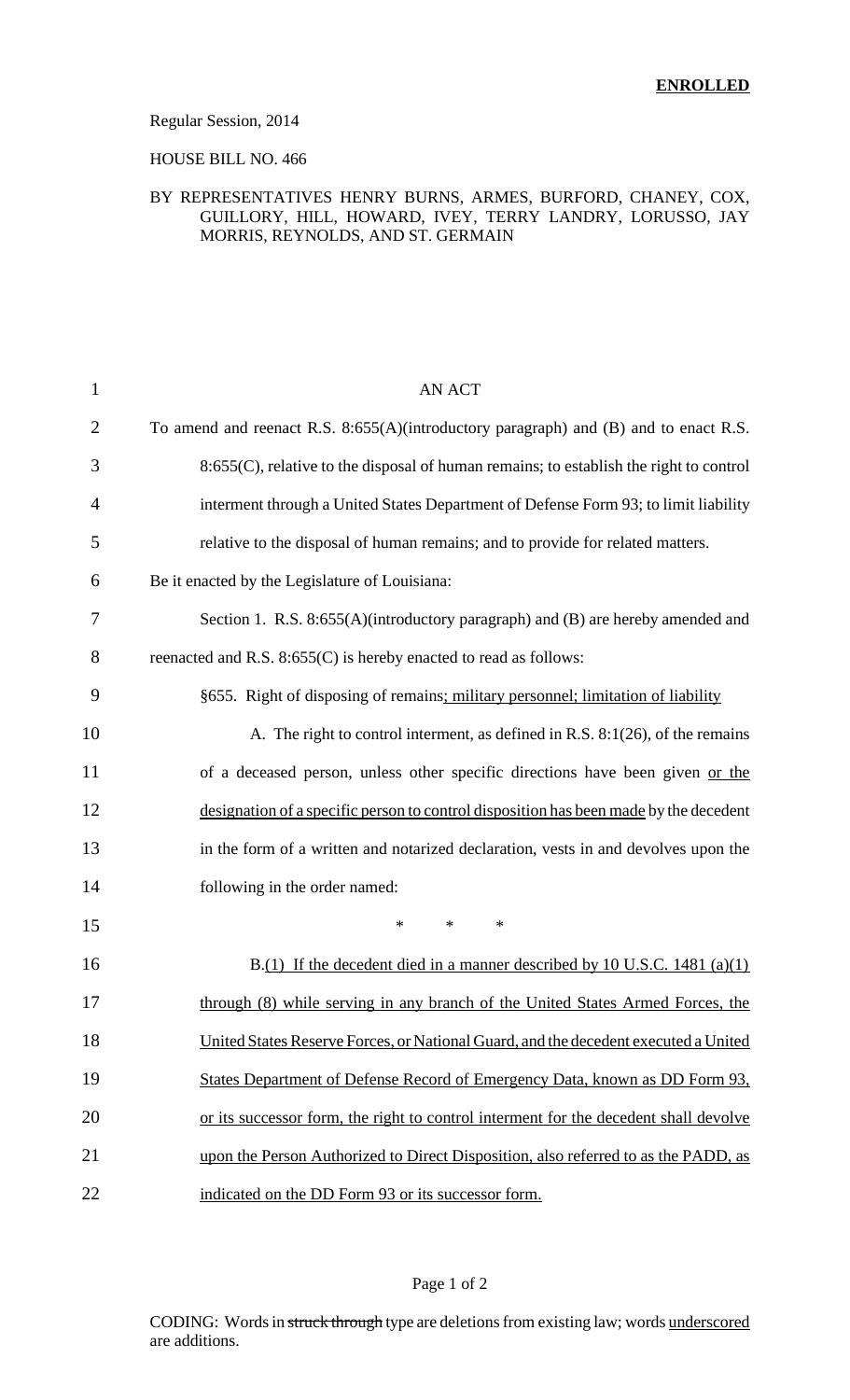#### Regular Session, 2014

### HOUSE BILL NO. 466

### BY REPRESENTATIVES HENRY BURNS, ARMES, BURFORD, CHANEY, COX, GUILLORY, HILL, HOWARD, IVEY, TERRY LANDRY, LORUSSO, JAY MORRIS, REYNOLDS, AND ST. GERMAIN

| $\mathbf{1}$   | <b>AN ACT</b>                                                                          |
|----------------|----------------------------------------------------------------------------------------|
| $\overline{2}$ | To amend and reenact R.S. 8:655(A)(introductory paragraph) and (B) and to enact R.S.   |
| 3              | 8:655(C), relative to the disposal of human remains; to establish the right to control |
| $\overline{4}$ | interment through a United States Department of Defense Form 93; to limit liability    |
| 5              | relative to the disposal of human remains; and to provide for related matters.         |
| 6              | Be it enacted by the Legislature of Louisiana:                                         |
| 7              | Section 1. R.S. 8:655(A)(introductory paragraph) and (B) are hereby amended and        |
| 8              | reenacted and R.S. 8:655(C) is hereby enacted to read as follows:                      |
| 9              | §655. Right of disposing of remains; military personnel; limitation of liability       |
| 10             | A. The right to control interment, as defined in R.S. 8:1(26), of the remains          |
| 11             | of a deceased person, unless other specific directions have been given or the          |
| 12             | designation of a specific person to control disposition has been made by the decedent  |
| 13             | in the form of a written and notarized declaration, vests in and devolves upon the     |
| 14             | following in the order named:                                                          |
| 15             | $\ast$<br>$\ast$<br>$\ast$                                                             |
| 16             | B.(1) If the decedent died in a manner described by 10 U.S.C. 1481 (a)(1)              |
| 17             | through (8) while serving in any branch of the United States Armed Forces, the         |
| 18             | United States Reserve Forces, or National Guard, and the decedent executed a United    |
| 19             | States Department of Defense Record of Emergency Data, known as DD Form 93,            |
| 20             | or its successor form, the right to control interment for the decedent shall devolve   |
| 21             | upon the Person Authorized to Direct Disposition, also referred to as the PADD, as     |
| 22             | indicated on the DD Form 93 or its successor form.                                     |

## Page 1 of 2

CODING: Words in struck through type are deletions from existing law; words underscored are additions.